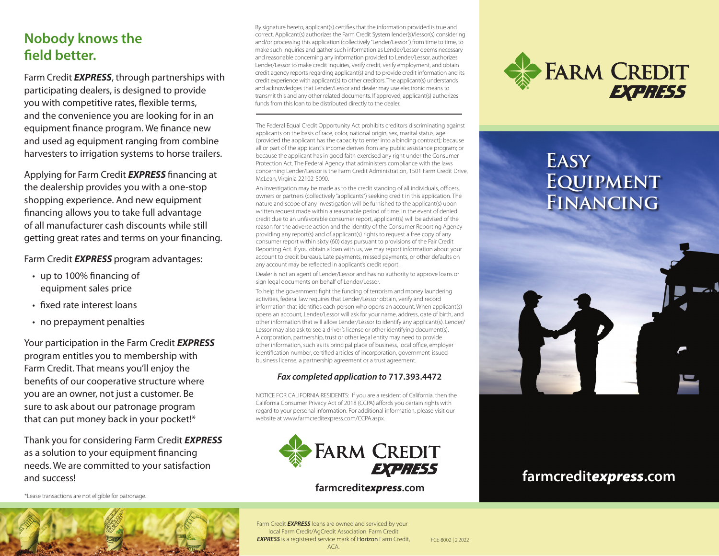## **Nobody knows the feld better.**

Farm Credit *EXPRESS*, through partnerships with participating dealers, is designed to provide you with competitive rates, fexible terms, and the convenience you are looking for in an equipment fnance program. We fnance new and used ag equipment ranging from combine harvesters to irrigation systems to horse trailers.

Applying for Farm Credit *EXPRESS* fnancing at the dealership provides you with a one-stop shopping experience. And new equipment fnancing allows you to take full advantage of all manufacturer cash discounts while still getting great rates and terms on your fnancing.

Farm Credit *EXPRESS* program advantages:

- up to 100% fnancing of equipment sales price
- fxed rate interest loans
- no prepayment penalties

Your participation in the Farm Credit *EXPRESS*  program entitles you to membership with Farm Credit. That means you'll enjoy the benefts of our cooperative structure where you are an owner, not just a customer. Be sure to ask about our patronage program that can put money back in your pocket!\*

Thank you for considering Farm Credit *EXPRESS*  as a solution to your equipment fnancing needs. We are committed to your satisfaction and success!

\*Lease transactions are not eligible for patronage.



By signature hereto, applicant(s) certifes that the information provided is true and correct. Applicant(s) authorizes the Farm Credit System lender(s)/lessor(s) considering and/or processing this application (collectively "Lender/Lessor") from time to time, to make such inquiries and gather such information as Lender/Lessor deems necessary and reasonable concerning any information provided to Lender/Lessor, authorizes Lender/Lessor to make credit inquiries, verify credit, verify employment, and obtain credit agency reports regarding applicant(s) and to provide credit information and its credit experience with applicant(s) to other creditors. The applicant(s) understands and acknowledges that Lender/Lessor and dealer may use electronic means to transmit this and any other related documents. If approved, applicant(s) authorizes funds from this loan to be distributed directly to the dealer.

The Federal Equal Credit Opportunity Act prohibits creditors discriminating against applicants on the basis of race, color, national origin, sex, marital status, age (provided the applicant has the capacity to enter into a binding contract); because all or part of the applicant's income derives from any public assistance program; or because the applicant has in good faith exercised any right under the Consumer Protection Act. The Federal Agency that administers compliance with the laws concerning Lender/Lessor is the Farm Credit Administration, 1501 Farm Credit Drive, McLean, Virginia 22102-5090.

An investigation may be made as to the credit standing of all individuals, officers, owners or partners (collectively "applicants") seeking credit in this application. The nature and scope of any investigation will be furnished to the applicant(s) upon written request made within a reasonable period of time. In the event of denied credit due to an unfavorable consumer report, applicant(s) will be advised of the reason for the adverse action and the identity of the Consumer Reporting Agency providing any report(s) and of applicant(s) rights to request a free copy of any consumer report within sixty (60) days pursuant to provisions of the Fair Credit Reporting Act. If you obtain a loan with us, we may report information about your account to credit bureaus. Late payments, missed payments, or other defaults on any account may be refected in applicant's credit report.

Dealer is not an agent of Lender/Lessor and has no authority to approve loans or sign legal documents on behalf of Lender/Lessor.

To help the government fght the funding of terrorism and money laundering activities, federal law requires that Lender/Lessor obtain, verify and record information that identifes each person who opens an account. When applicant(s) opens an account, Lender/Lessor will ask for your name, address, date of birth, and other information that will allow Lender/Lessor to identify any applicant(s). Lender/ Lessor may also ask to see a driver's license or other identifying document(s). A corporation, partnership, trust or other legal entity may need to provide other information, such as its principal place of business, local office, employer identifcation number, certifed articles of incorporation, government-issued business license, a partnership agreement or a trust agreement.

#### *Fax completed application to* **717.393.4472**

NOTICE FOR CALIFORNIA RESIDENTS: If you are a resident of California, then the California Consumer Privacy Act of 2018 (CCPA) affords you certain rights with regard to your personal information. For additional information, please visit our website at [www.farmcreditexpress.com/CCPA.aspx.](www.farmcreditexpress.com/CCPA.aspx)



### **[farmcredit](https://farmcreditexpress.com)***express***.com**

Farm Credit *EXPRESS* loans are owned and serviced by your local Farm Credit/AgCredit Association. Farm Credit **EXPRESS** is a registered service mark of **Horizon** Farm Credit, FCE-8002 | 2.2022 ACA.





# **Easy Equipment Financing**